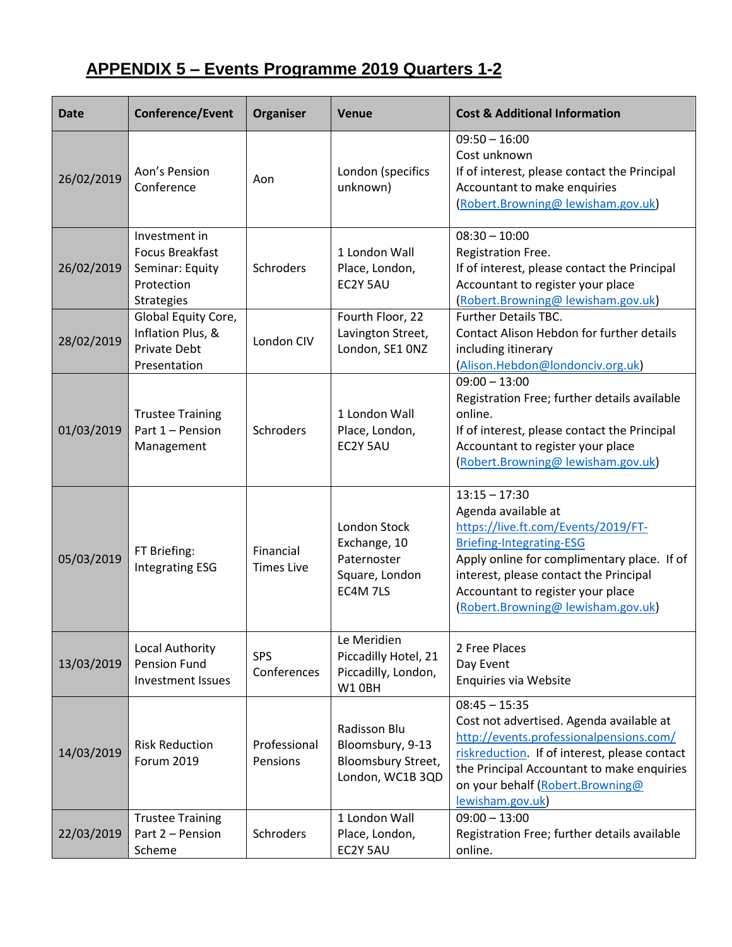## **APPENDIX 5 – Events Programme 2019 Quarters 1-2**

| <b>Date</b> | Conference/Event                                                                              | Organiser                      | Venue                                                                      | <b>Cost &amp; Additional Information</b>                                                                                                                                                                                                                                            |
|-------------|-----------------------------------------------------------------------------------------------|--------------------------------|----------------------------------------------------------------------------|-------------------------------------------------------------------------------------------------------------------------------------------------------------------------------------------------------------------------------------------------------------------------------------|
| 26/02/2019  | Aon's Pension<br>Conference                                                                   | Aon                            | London (specifics<br>unknown)                                              | $09:50 - 16:00$<br>Cost unknown<br>If of interest, please contact the Principal<br>Accountant to make enquiries<br>(Robert.Browning@lewisham.gov.uk)                                                                                                                                |
| 26/02/2019  | Investment in<br><b>Focus Breakfast</b><br>Seminar: Equity<br>Protection<br><b>Strategies</b> | Schroders                      | 1 London Wall<br>Place, London,<br>EC2Y 5AU                                | $08:30 - 10:00$<br>Registration Free.<br>If of interest, please contact the Principal<br>Accountant to register your place<br>(Robert.Browning@lewisham.gov.uk)                                                                                                                     |
| 28/02/2019  | Global Equity Core,<br>Inflation Plus, &<br><b>Private Debt</b><br>Presentation               | London CIV                     | Fourth Floor, 22<br>Lavington Street,<br>London, SE1 ONZ                   | <b>Further Details TBC.</b><br>Contact Alison Hebdon for further details<br>including itinerary<br>(Alison.Hebdon@londonciv.org.uk)                                                                                                                                                 |
| 01/03/2019  | <b>Trustee Training</b><br>Part 1 - Pension<br>Management                                     | Schroders                      | 1 London Wall<br>Place, London,<br>EC2Y 5AU                                | $09:00 - 13:00$<br>Registration Free; further details available<br>online.<br>If of interest, please contact the Principal<br>Accountant to register your place<br>(Robert.Browning@lewisham.gov.uk)                                                                                |
| 05/03/2019  | FT Briefing:<br><b>Integrating ESG</b>                                                        | Financial<br><b>Times Live</b> | London Stock<br>Exchange, 10<br>Paternoster<br>Square, London<br>EC4M 7LS  | $13:15 - 17:30$<br>Agenda available at<br>https://live.ft.com/Events/2019/FT-<br><b>Briefing-Integrating-ESG</b><br>Apply online for complimentary place. If of<br>interest, please contact the Principal<br>Accountant to register your place<br>(Robert.Browning@lewisham.gov.uk) |
| 13/03/2019  | Local Authority<br><b>Pension Fund</b><br><b>Investment Issues</b>                            | SPS<br>Conferences             | Le Meridien<br>Piccadilly Hotel, 21<br>Piccadilly, London,<br>W10BH        | 2 Free Places<br>Day Event<br>Enquiries via Website                                                                                                                                                                                                                                 |
| 14/03/2019  | <b>Risk Reduction</b><br>Forum 2019                                                           | Professional<br>Pensions       | Radisson Blu<br>Bloomsbury, 9-13<br>Bloomsbury Street,<br>London, WC1B 3QD | $08:45 - 15:35$<br>Cost not advertised. Agenda available at<br>http://events.professionalpensions.com/<br>riskreduction. If of interest, please contact<br>the Principal Accountant to make enquiries<br>on your behalf (Robert.Browning@<br>lewisham.gov.uk)                       |
| 22/03/2019  | <b>Trustee Training</b><br>Part 2 - Pension<br>Scheme                                         | Schroders                      | 1 London Wall<br>Place, London,<br>EC2Y 5AU                                | $09:00 - 13:00$<br>Registration Free; further details available<br>online.                                                                                                                                                                                                          |